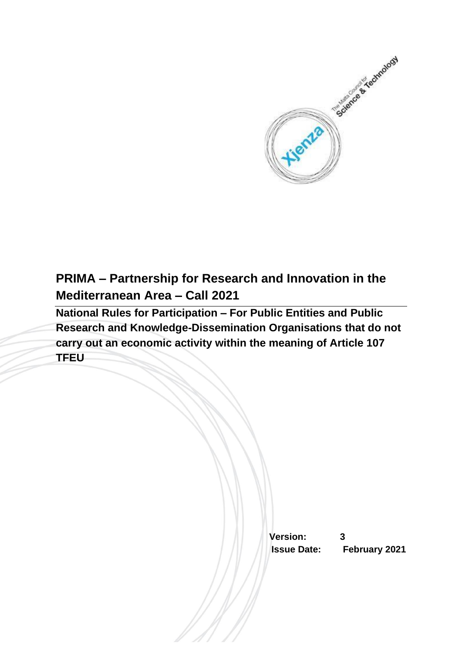

**PRIMA – Partnership for Research and Innovation in the Mediterranean Area – Call 2021**

**National Rules for Participation – For Public Entities and Public Research and Knowledge-Dissemination Organisations that do not carry out an economic activity within the meaning of Article 107 TFEU**

 **Version: 3**

**Issue Date: February 2021**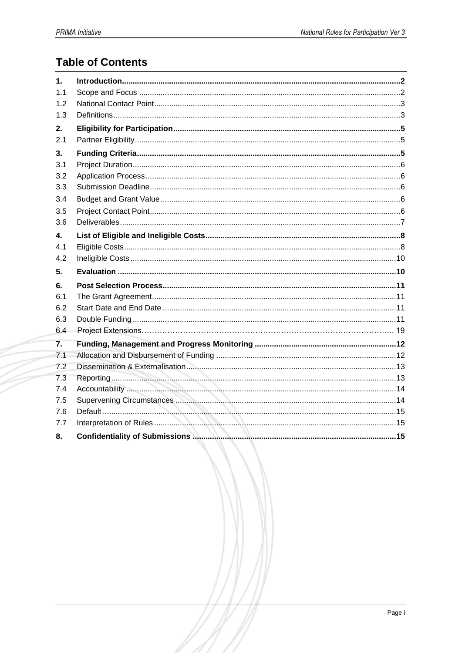# **Table of Contents**

| $\mathbf{1}$ . |  |
|----------------|--|
| 1.1            |  |
| 1.2            |  |
| 1.3            |  |
| 2.             |  |
| 2.1            |  |
| 3.             |  |
| 3.1            |  |
| 3.2            |  |
| 3.3            |  |
| 3.4            |  |
| 3.5            |  |
| 3.6            |  |
| 4.             |  |
| 4.1            |  |
| 4.2            |  |
|                |  |
| 5.             |  |
| 6.             |  |
| 6.1            |  |
| 6.2            |  |
| 6.3            |  |
| 6.4            |  |
| 7.             |  |
| 7.1            |  |
| 7.2            |  |
| 7.3            |  |
| 7.4            |  |
| 7.5            |  |
| 7.6            |  |
| 7.7            |  |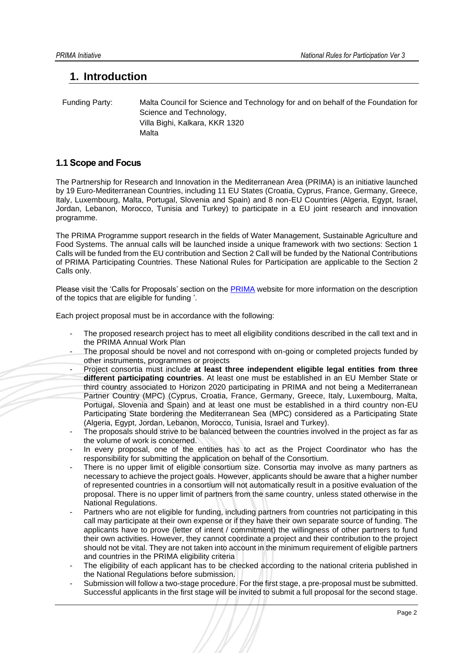# <span id="page-2-0"></span>**1. Introduction**

 Funding Party: Malta Council for Science and Technology for and on behalf of the Foundation for Science and Technology, Villa Bighi, Kalkara, KKR 1320 Malta

## <span id="page-2-1"></span>**1.1 Scope and Focus**

The Partnership for Research and Innovation in the Mediterranean Area (PRIMA) is an initiative launched by 19 Euro-Mediterranean Countries, including 11 EU States (Croatia, Cyprus, France, Germany, Greece, Italy, Luxembourg, Malta, Portugal, Slovenia and Spain) and 8 non-EU Countries (Algeria, Egypt, Israel, Jordan, Lebanon, Morocco, Tunisia and Turkey) to participate in a EU joint research and innovation programme.

The PRIMA Programme support research in the fields of Water Management, Sustainable Agriculture and Food Systems. The annual calls will be launched inside a unique framework with two sections: Section 1 Calls will be funded from the EU contribution and Section 2 Call will be funded by the National Contributions of PRIMA Participating Countries. These National Rules for Participation are applicable to the Section 2 Calls only.

Please visit the 'Calls for Proposals' section on the [PRIMA](https://prima-med.org/) website for more information on the description of the topics that are eligible for funding '.

Each project proposal must be in accordance with the following:

- The proposed research project has to meet all eligibility conditions described in the call text and in the PRIMA Annual Work Plan
- The proposal should be novel and not correspond with on-going or completed projects funded by other instruments, programmes or projects
- Project consortia must include **at least three independent eligible legal entities from three different participating countries**. At least one must be established in an EU Member State or third country associated to Horizon 2020 participating in PRIMA and not being a Mediterranean Partner Country (MPC) (Cyprus, Croatia, France, Germany, Greece, Italy, Luxembourg, Malta, Portugal, Slovenia and Spain) and at least one must be established in a third country non-EU Participating State bordering the Mediterranean Sea (MPC) considered as a Participating State (Algeria, Egypt, Jordan, Lebanon, Morocco, Tunisia, Israel and Turkey).
- The proposals should strive to be balanced between the countries involved in the project as far as the volume of work is concerned.
- In every proposal, one of the entities has to act as the Project Coordinator who has the responsibility for submitting the application on behalf of the Consortium.
- There is no upper limit of eligible consortium size. Consortia may involve as many partners as necessary to achieve the project goals. However, applicants should be aware that a higher number of represented countries in a consortium will not automatically result in a positive evaluation of the proposal. There is no upper limit of partners from the same country, unless stated otherwise in the National Regulations.
- Partners who are not eligible for funding, including partners from countries not participating in this call may participate at their own expense or if they have their own separate source of funding. The applicants have to prove (letter of intent / commitment) the willingness of other partners to fund their own activities. However, they cannot coordinate a project and their contribution to the project should not be vital. They are not taken into account in the minimum requirement of eligible partners and countries in the PRIMA eligibility criteria
- The eligibility of each applicant has to be checked according to the national criteria published in the National Regulations before submission.
- Submission will follow a two-stage procedure. For the first stage, a pre-proposal must be submitted. Successful applicants in the first stage will be invited to submit a full proposal for the second stage.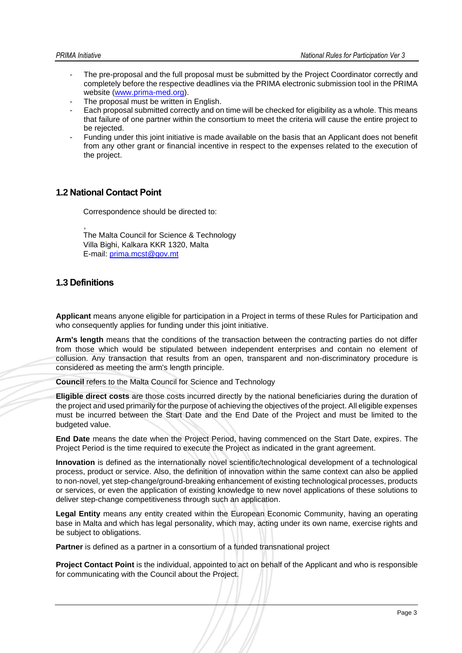- The pre-proposal and the full proposal must be submitted by the Project Coordinator correctly and completely before the respective deadlines via the PRIMA electronic submission tool in the PRIMA website [\(www.prima-med.org\)](http://www.prima-med.org/).
- The proposal must be written in English.
- Each proposal submitted correctly and on time will be checked for eligibility as a whole. This means that failure of one partner within the consortium to meet the criteria will cause the entire project to be rejected.
- Funding under this joint initiative is made available on the basis that an Applicant does not benefit from any other grant or financial incentive in respect to the expenses related to the execution of the project.

### <span id="page-3-0"></span>**1.2 National Contact Point**

Correspondence should be directed to:

, The Malta Council for Science & Technology Villa Bighi, Kalkara KKR 1320, Malta E-mail: [prima.mcst@gov.mt](mailto:prima.mcst@gov.mt)

### <span id="page-3-1"></span>**1.3 Definitions**

**Applicant** means anyone eligible for participation in a Project in terms of these Rules for Participation and who consequently applies for funding under this joint initiative.

**Arm's length** means that the conditions of the transaction between the contracting parties do not differ from those which would be stipulated between independent enterprises and contain no element of collusion. Any transaction that results from an open, transparent and non-discriminatory procedure is considered as meeting the arm's length principle.

**Council** refers to the Malta Council for Science and Technology

**Eligible direct costs** are those costs incurred directly by the national beneficiaries during the duration of the project and used primarily for the purpose of achieving the objectives of the project. All eligible expenses must be incurred between the Start Date and the End Date of the Project and must be limited to the budgeted value.

**End Date** means the date when the Project Period, having commenced on the Start Date, expires. The Project Period is the time required to execute the Project as indicated in the grant agreement.

**Innovation** is defined as the internationally novel scientific/technological development of a technological process, product or service. Also, the definition of innovation within the same context can also be applied to non-novel, yet step-change/ground-breaking enhancement of existing technological processes, products or services, or even the application of existing knowledge to new novel applications of these solutions to deliver step-change competitiveness through such an application.

**Legal Entity** means any entity created within the European Economic Community, having an operating base in Malta and which has legal personality, which may, acting under its own name, exercise rights and be subject to obligations.

**Partner** is defined as a partner in a consortium of a funded transnational project

**Project Contact Point** is the individual, appointed to act on behalf of the Applicant and who is responsible for communicating with the Council about the Project.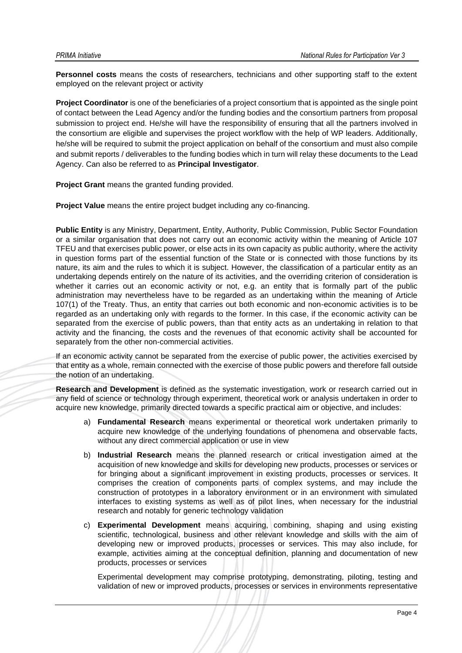**Personnel costs** means the costs of researchers, technicians and other supporting staff to the extent employed on the relevant project or activity

**Project Coordinator** is one of the beneficiaries of a project consortium that is appointed as the single point of contact between the Lead Agency and/or the funding bodies and the consortium partners from proposal submission to project end. He/she will have the responsibility of ensuring that all the partners involved in the consortium are eligible and supervises the project workflow with the help of WP leaders. Additionally, he/she will be required to submit the project application on behalf of the consortium and must also compile and submit reports / deliverables to the funding bodies which in turn will relay these documents to the Lead Agency. Can also be referred to as **Principal Investigator**.

**Project Grant** means the granted funding provided.

**Project Value** means the entire project budget including any co-financing.

**Public Entity** is any Ministry, Department, Entity, Authority, Public Commission, Public Sector Foundation or a similar organisation that does not carry out an economic activity within the meaning of Article 107 TFEU and that exercises public power, or else acts in its own capacity as public authority, where the activity in question forms part of the essential function of the State or is connected with those functions by its nature, its aim and the rules to which it is subject. However, the classification of a particular entity as an undertaking depends entirely on the nature of its activities, and the overriding criterion of consideration is whether it carries out an economic activity or not, e.g. an entity that is formally part of the public administration may nevertheless have to be regarded as an undertaking within the meaning of Article 107(1) of the Treaty. Thus, an entity that carries out both economic and non-economic activities is to be regarded as an undertaking only with regards to the former. In this case, if the economic activity can be separated from the exercise of public powers, than that entity acts as an undertaking in relation to that activity and the financing, the costs and the revenues of that economic activity shall be accounted for separately from the other non-commercial activities.

If an economic activity cannot be separated from the exercise of public power, the activities exercised by that entity as a whole, remain connected with the exercise of those public powers and therefore fall outside the notion of an undertaking.

**Research and Development** is defined as the systematic investigation, work or research carried out in any field of science or technology through experiment, theoretical work or analysis undertaken in order to acquire new knowledge, primarily directed towards a specific practical aim or objective, and includes:

- a) **Fundamental Research** means experimental or theoretical work undertaken primarily to acquire new knowledge of the underlying foundations of phenomena and observable facts, without any direct commercial application or use in view
- b) **Industrial Research** means the planned research or critical investigation aimed at the acquisition of new knowledge and skills for developing new products, processes or services or for bringing about a significant improvement in existing products, processes or services. It comprises the creation of components parts of complex systems, and may include the construction of prototypes in a laboratory environment or in an environment with simulated interfaces to existing systems as well as of pilot lines, when necessary for the industrial research and notably for generic technology validation
- c) **Experimental Development** means acquiring, combining, shaping and using existing scientific, technological, business and other relevant knowledge and skills with the aim of developing new or improved products, processes or services. This may also include, for example, activities aiming at the conceptual definition, planning and documentation of new products, processes or services

Experimental development may comprise prototyping, demonstrating, piloting, testing and validation of new or improved products, processes or services in environments representative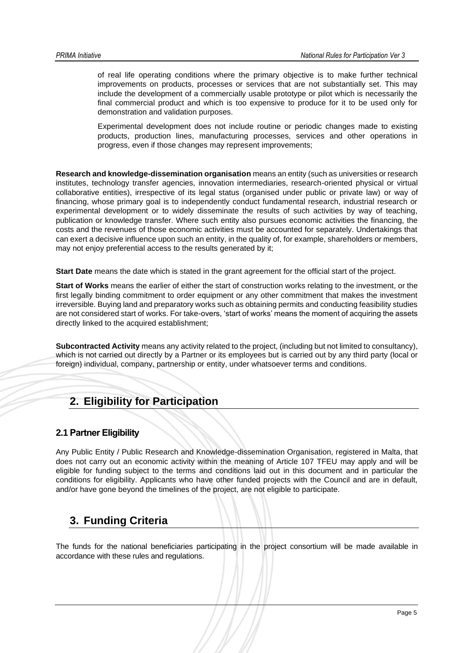of real life operating conditions where the primary objective is to make further technical improvements on products, processes or services that are not substantially set. This may include the development of a commercially usable prototype or pilot which is necessarily the final commercial product and which is too expensive to produce for it to be used only for demonstration and validation purposes.

Experimental development does not include routine or periodic changes made to existing products, production lines, manufacturing processes, services and other operations in progress, even if those changes may represent improvements;

**Research and knowledge-dissemination organisation** means an entity (such as universities or research institutes, technology transfer agencies, innovation intermediaries, research-oriented physical or virtual collaborative entities), irrespective of its legal status (organised under public or private law) or way of financing, whose primary goal is to independently conduct fundamental research, industrial research or experimental development or to widely disseminate the results of such activities by way of teaching, publication or knowledge transfer. Where such entity also pursues economic activities the financing, the costs and the revenues of those economic activities must be accounted for separately. Undertakings that can exert a decisive influence upon such an entity, in the quality of, for example, shareholders or members, may not enjoy preferential access to the results generated by it;

**Start Date** means the date which is stated in the grant agreement for the official start of the project.

**Start of Works** means the earlier of either the start of construction works relating to the investment, or the first legally binding commitment to order equipment or any other commitment that makes the investment irreversible. Buying land and preparatory works such as obtaining permits and conducting feasibility studies are not considered start of works. For take-overs, 'start of works' means the moment of acquiring the assets directly linked to the acquired establishment;

**Subcontracted Activity** means any activity related to the project, (including but not limited to consultancy), which is not carried out directly by a Partner or its employees but is carried out by any third party (local or foreign) individual, company, partnership or entity, under whatsoever terms and conditions.

# <span id="page-5-0"></span>**2. Eligibility for Participation**

### <span id="page-5-1"></span>**2.1 Partner Eligibility**

Any Public Entity / Public Research and Knowledge-dissemination Organisation, registered in Malta, that does not carry out an economic activity within the meaning of Article 107 TFEU may apply and will be eligible for funding subject to the terms and conditions laid out in this document and in particular the conditions for eligibility. Applicants who have other funded projects with the Council and are in default, and/or have gone beyond the timelines of the project, are not eligible to participate.

# <span id="page-5-2"></span>**3. Funding Criteria**

The funds for the national beneficiaries participating in the project consortium will be made available in accordance with these rules and regulations.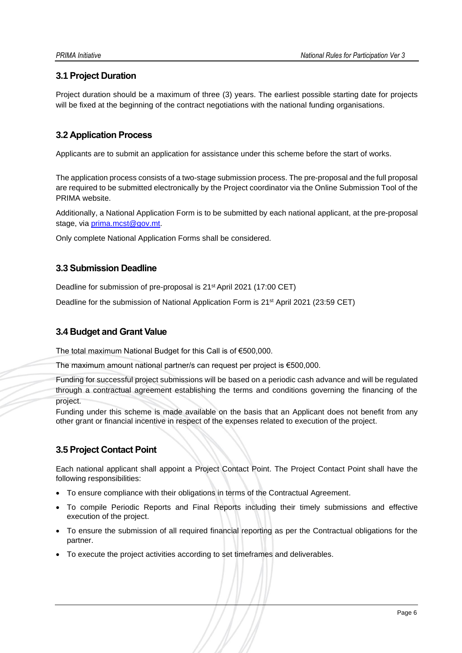## <span id="page-6-0"></span>**3.1 Project Duration**

Project duration should be a maximum of three (3) years. The earliest possible starting date for projects will be fixed at the beginning of the contract negotiations with the national funding organisations.

## <span id="page-6-1"></span>**3.2 Application Process**

Applicants are to submit an application for assistance under this scheme before the start of works.

The application process consists of a two-stage submission process. The pre-proposal and the full proposal are required to be submitted electronically by the Project coordinator via the Online Submission Tool of the PRIMA website.

Additionally, a National Application Form is to be submitted by each national applicant, at the pre-proposal stage, via [prima.mcst@gov.mt.](mailto:prima.mcst@gov.mt)

Only complete National Application Forms shall be considered.

## <span id="page-6-2"></span>**3.3 Submission Deadline**

Deadline for submission of pre-proposal is 21<sup>st</sup> April 2021 (17:00 CET)

Deadline for the submission of National Application Form is 21<sup>st</sup> April 2021 (23:59 CET)

## <span id="page-6-3"></span>**3.4 Budget and Grant Value**

The total maximum National Budget for this Call is of €500,000.

The maximum amount national partner/s can request per project is €500,000.

Funding for successful project submissions will be based on a periodic cash advance and will be regulated through a contractual agreement establishing the terms and conditions governing the financing of the project.

Funding under this scheme is made available on the basis that an Applicant does not benefit from any other grant or financial incentive in respect of the expenses related to execution of the project.

## <span id="page-6-4"></span>**3.5 Project Contact Point**

Each national applicant shall appoint a Project Contact Point. The Project Contact Point shall have the following responsibilities:

- To ensure compliance with their obligations in terms of the Contractual Agreement.
- To compile Periodic Reports and Final Reports including their timely submissions and effective execution of the project.
- To ensure the submission of all required financial reporting as per the Contractual obligations for the partner.
- To execute the project activities according to set timeframes and deliverables.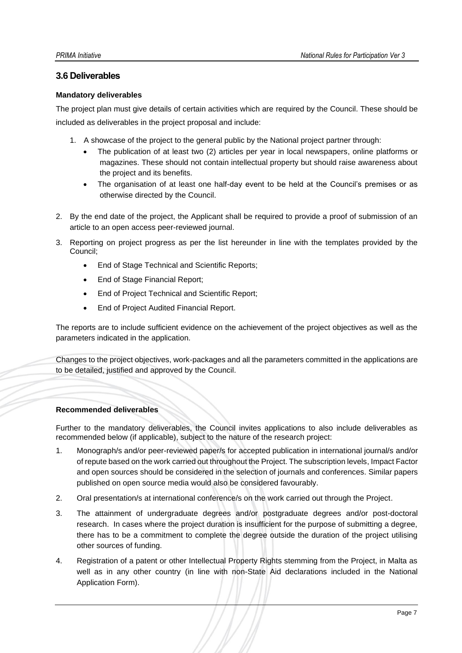### <span id="page-7-0"></span>**3.6 Deliverables**

#### **Mandatory deliverables**

The project plan must give details of certain activities which are required by the Council. These should be included as deliverables in the project proposal and include:

- 1. A showcase of the project to the general public by the National project partner through:
	- The publication of at least two (2) articles per year in local newspapers, online platforms or magazines. These should not contain intellectual property but should raise awareness about the project and its benefits.
	- The organisation of at least one half-day event to be held at the Council's premises or as otherwise directed by the Council.
- 2. By the end date of the project, the Applicant shall be required to provide a proof of submission of an article to an open access peer-reviewed journal.
- 3. Reporting on project progress as per the list hereunder in line with the templates provided by the Council;
	- End of Stage Technical and Scientific Reports;
	- End of Stage Financial Report;
	- End of Project Technical and Scientific Report;
	- End of Project Audited Financial Report.

The reports are to include sufficient evidence on the achievement of the project objectives as well as the parameters indicated in the application.

Changes to the project objectives, work-packages and all the parameters committed in the applications are to be detailed, justified and approved by the Council.

#### **Recommended deliverables**

Further to the mandatory deliverables, the Council invites applications to also include deliverables as recommended below (if applicable), subject to the nature of the research project:

- 1. Monograph/s and/or peer-reviewed paper/s for accepted publication in international journal/s and/or of repute based on the work carried out throughout the Project. The subscription levels, Impact Factor and open sources should be considered in the selection of journals and conferences. Similar papers published on open source media would also be considered favourably.
- 2. Oral presentation/s at international conference/s on the work carried out through the Project.
- 3. The attainment of undergraduate degrees and/or postgraduate degrees and/or post-doctoral research. In cases where the project duration is insufficient for the purpose of submitting a degree, there has to be a commitment to complete the degree outside the duration of the project utilising other sources of funding.
- 4. Registration of a patent or other Intellectual Property Rights stemming from the Project, in Malta as well as in any other country (in line with non-State Aid declarations included in the National Application Form).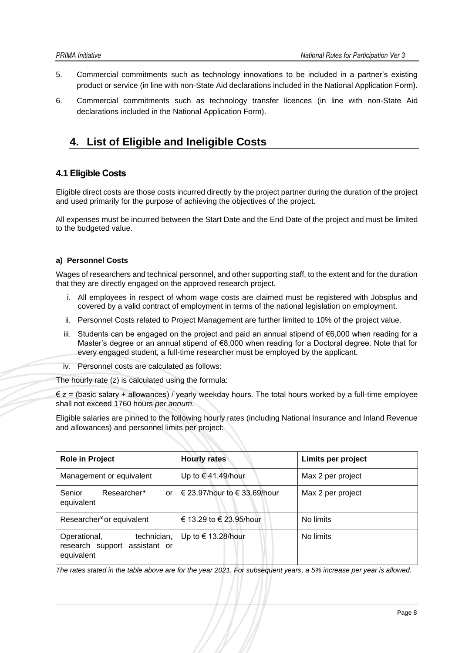- 5. Commercial commitments such as technology innovations to be included in a partner's existing product or service (in line with non-State Aid declarations included in the National Application Form).
- 6. Commercial commitments such as technology transfer licences (in line with non-State Aid declarations included in the National Application Form).

## <span id="page-8-0"></span>**4. List of Eligible and Ineligible Costs**

### <span id="page-8-1"></span>**4.1 Eligible Costs**

Eligible direct costs are those costs incurred directly by the project partner during the duration of the project and used primarily for the purpose of achieving the objectives of the project.

All expenses must be incurred between the Start Date and the End Date of the project and must be limited to the budgeted value.

#### **a) Personnel Costs**

Wages of researchers and technical personnel, and other supporting staff, to the extent and for the duration that they are directly engaged on the approved research project.

- i. All employees in respect of whom wage costs are claimed must be registered with Jobsplus and covered by a valid contract of employment in terms of the national legislation on employment.
- ii. Personnel Costs related to Project Management are further limited to 10% of the project value.
- iii. Students can be engaged on the project and paid an annual stipend of €6,000 when reading for a Master's degree or an annual stipend of €8,000 when reading for a Doctoral degree. Note that for every engaged student, a full-time researcher must be employed by the applicant.
- iv. Personnel costs are calculated as follows:

The hourly rate (z) is calculated using the formula:

 $\epsilon$  z = (basic salary + allowances) / yearly weekday hours. The total hours worked by a full-time employee shall not exceed 1760 hours *per annum*.

Eligible salaries are pinned to the following hourly rates (including National Insurance and Inland Revenue and allowances) and personnel limits per project:

| <b>Role in Project</b>                                                     | <b>Hourly rates</b>          | Limits per project |
|----------------------------------------------------------------------------|------------------------------|--------------------|
| Management or equivalent                                                   | Up to $\in$ 41.49/hour       | Max 2 per project  |
| Senior<br>Researcher*<br>or<br>equivalent                                  | € 23.97/hour to € 33.69/hour | Max 2 per project  |
| Researcher <sup>¥</sup> or equivalent                                      | € 13.29 to € 23.95/hour      | No limits          |
| Operational,<br>technician,<br>research support assistant or<br>equivalent | Up to $\in$ 13.28/hour       | No limits          |

*The rates stated in the table above are for the year 2021. For subsequent years, a 5% increase per year is allowed.*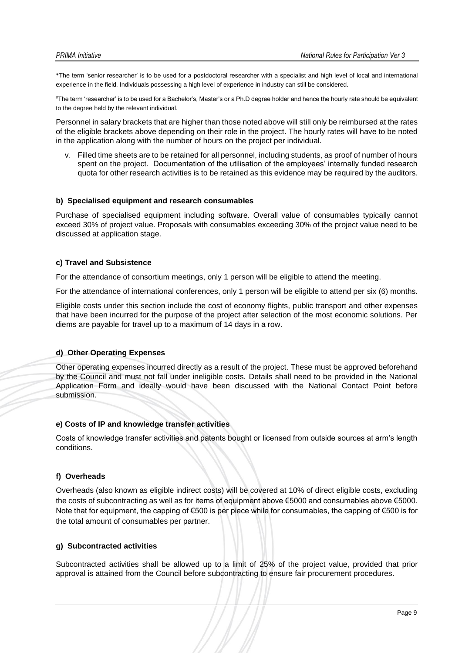\*The term 'senior researcher' is to be used for a postdoctoral researcher with a specialist and high level of local and international experience in the field. Individuals possessing a high level of experience in industry can still be considered.

¥The term 'researcher' is to be used for a Bachelor's, Master's or a Ph.D degree holder and hence the hourly rate should be equivalent to the degree held by the relevant individual.

Personnel in salary brackets that are higher than those noted above will still only be reimbursed at the rates of the eligible brackets above depending on their role in the project. The hourly rates will have to be noted in the application along with the number of hours on the project per individual.

v. Filled time sheets are to be retained for all personnel, including students, as proof of number of hours spent on the project. Documentation of the utilisation of the employees' internally funded research quota for other research activities is to be retained as this evidence may be required by the auditors.

#### **b) Specialised equipment and research consumables**

Purchase of specialised equipment including software. Overall value of consumables typically cannot exceed 30% of project value. Proposals with consumables exceeding 30% of the project value need to be discussed at application stage.

#### **c) Travel and Subsistence**

For the attendance of consortium meetings, only 1 person will be eligible to attend the meeting.

For the attendance of international conferences, only 1 person will be eligible to attend per six (6) months.

Eligible costs under this section include the cost of economy flights, public transport and other expenses that have been incurred for the purpose of the project after selection of the most economic solutions. Per diems are payable for travel up to a maximum of 14 days in a row.

#### **d) Other Operating Expenses**

Other operating expenses incurred directly as a result of the project. These must be approved beforehand by the Council and must not fall under ineligible costs. Details shall need to be provided in the National Application Form and ideally would have been discussed with the National Contact Point before submission.

#### **e) Costs of IP and knowledge transfer activities**

Costs of knowledge transfer activities and patents bought or licensed from outside sources at arm's length conditions.

#### **f) Overheads**

Overheads (also known as eligible indirect costs) will be covered at 10% of direct eligible costs, excluding the costs of subcontracting as well as for items of equipment above €5000 and consumables above €5000. Note that for equipment, the capping of €500 is per piece while for consumables, the capping of €500 is for the total amount of consumables per partner.

#### **g) Subcontracted activities**

Subcontracted activities shall be allowed up to a limit of 25% of the project value, provided that prior approval is attained from the Council before subcontracting to ensure fair procurement procedures.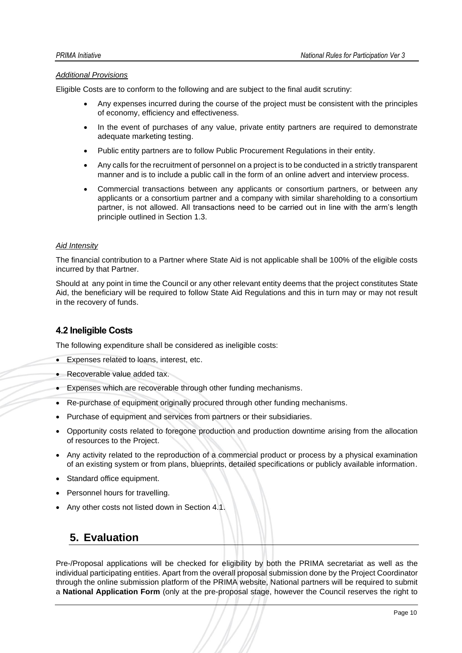#### *Additional Provisions*

Eligible Costs are to conform to the following and are subject to the final audit scrutiny:

- Any expenses incurred during the course of the project must be consistent with the principles of economy, efficiency and effectiveness.
- In the event of purchases of any value, private entity partners are required to demonstrate adequate marketing testing.
- Public entity partners are to follow Public Procurement Regulations in their entity.
- Any calls for the recruitment of personnel on a project is to be conducted in a strictly transparent manner and is to include a public call in the form of an online advert and interview process.
- Commercial transactions between any applicants or consortium partners, or between any applicants or a consortium partner and a company with similar shareholding to a consortium partner, is not allowed. All transactions need to be carried out in line with the arm's length principle outlined in Section 1.3.

#### *Aid Intensity*

<span id="page-10-0"></span>The financial contribution to a Partner where State Aid is not applicable shall be 100% of the eligible costs incurred by that Partner.

Should at any point in time the Council or any other relevant entity deems that the project constitutes State Aid, the beneficiary will be required to follow State Aid Regulations and this in turn may or may not result in the recovery of funds.

## **4.2 Ineligible Costs**

The following expenditure shall be considered as ineligible costs:

- Expenses related to loans, interest, etc.
- Recoverable value added tax.
- Expenses which are recoverable through other funding mechanisms.
- Re-purchase of equipment originally procured through other funding mechanisms.
- Purchase of equipment and services from partners or their subsidiaries.
- Opportunity costs related to foregone production and production downtime arising from the allocation of resources to the Project.
- Any activity related to the reproduction of a commercial product or process by a physical examination of an existing system or from plans, blueprints, detailed specifications or publicly available information.
- Standard office equipment.
- Personnel hours for travelling.
- Any other costs not listed down in Section 4.1.

# <span id="page-10-1"></span>**5. Evaluation**

Pre-/Proposal applications will be checked for eligibility by both the PRIMA secretariat as well as the individual participating entities. Apart from the overall proposal submission done by the Project Coordinator through the online submission platform of the PRIMA website, National partners will be required to submit a **National Application Form** (only at the pre-proposal stage, however the Council reserves the right to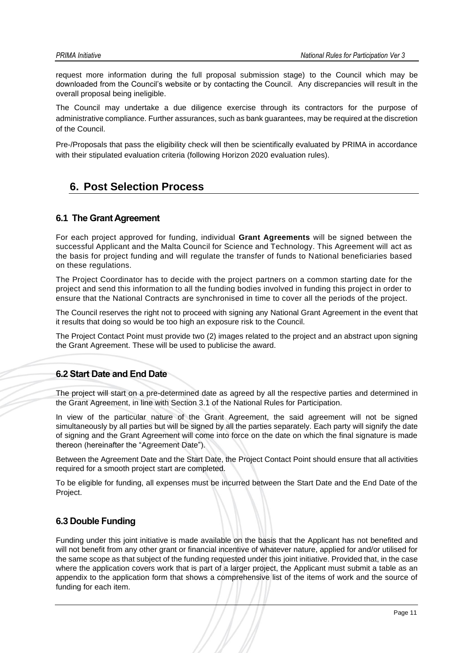request more information during the full proposal submission stage) to the Council which may be downloaded from the Council's website or by contacting the Council. Any discrepancies will result in the overall proposal being ineligible.

The Council may undertake a due diligence exercise through its contractors for the purpose of administrative compliance. Further assurances, such as bank guarantees, may be required at the discretion of the Council.

Pre-/Proposals that pass the eligibility check will then be scientifically evaluated by PRIMA in accordance with their stipulated evaluation criteria (following Horizon 2020 evaluation rules).

# <span id="page-11-0"></span>**6. Post Selection Process**

### <span id="page-11-1"></span>**6.1 The Grant Agreement**

For each project approved for funding, individual **Grant Agreements** will be signed between the successful Applicant and the Malta Council for Science and Technology. This Agreement will act as the basis for project funding and will regulate the transfer of funds to National beneficiaries based on these regulations.

The Project Coordinator has to decide with the project partners on a common starting date for the project and send this information to all the funding bodies involved in funding this project in order to ensure that the National Contracts are synchronised in time to cover all the periods of the project.

The Council reserves the right not to proceed with signing any National Grant Agreement in the event that it results that doing so would be too high an exposure risk to the Council.

The Project Contact Point must provide two (2) images related to the project and an abstract upon signing the Grant Agreement. These will be used to publicise the award.

### <span id="page-11-2"></span>**6.2 Start Date and End Date**

The project will start on a pre-determined date as agreed by all the respective parties and determined in the Grant Agreement, in line with Section 3.1 of the National Rules for Participation.

In view of the particular nature of the Grant Agreement, the said agreement will not be signed simultaneously by all parties but will be signed by all the parties separately. Each party will signify the date of signing and the Grant Agreement will come into force on the date on which the final signature is made thereon (hereinafter the "Agreement Date").

Between the Agreement Date and the Start Date, the Project Contact Point should ensure that all activities required for a smooth project start are completed.

To be eligible for funding, all expenses must be incurred between the Start Date and the End Date of the Project.

### <span id="page-11-3"></span>**6.3 Double Funding**

Funding under this joint initiative is made available on the basis that the Applicant has not benefited and will not benefit from any other grant or financial incentive of whatever nature, applied for and/or utilised for the same scope as that subject of the funding requested under this joint initiative. Provided that, in the case where the application covers work that is part of a larger project, the Applicant must submit a table as an appendix to the application form that shows a comprehensive list of the items of work and the source of funding for each item.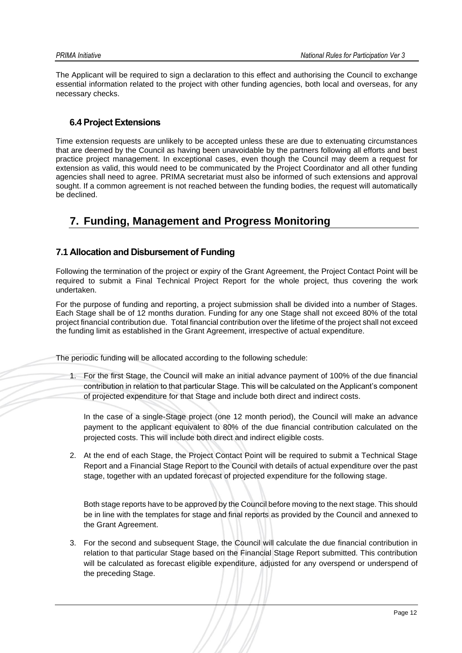The Applicant will be required to sign a declaration to this effect and authorising the Council to exchange essential information related to the project with other funding agencies, both local and overseas, for any necessary checks.

## **6.4 Project Extensions**

Time extension requests are unlikely to be accepted unless these are due to extenuating circumstances that are deemed by the Council as having been unavoidable by the partners following all efforts and best practice project management. In exceptional cases, even though the Council may deem a request for extension as valid, this would need to be communicated by the Project Coordinator and all other funding agencies shall need to agree. PRIMA secretariat must also be informed of such extensions and approval sought. If a common agreement is not reached between the funding bodies, the request will automatically be declined.

# <span id="page-12-0"></span>**7. Funding, Management and Progress Monitoring**

## <span id="page-12-1"></span>**7.1 Allocation and Disbursement of Funding**

Following the termination of the project or expiry of the Grant Agreement, the Project Contact Point will be required to submit a Final Technical Project Report for the whole project, thus covering the work undertaken.

For the purpose of funding and reporting, a project submission shall be divided into a number of Stages. Each Stage shall be of 12 months duration. Funding for any one Stage shall not exceed 80% of the total project financial contribution due. Total financial contribution over the lifetime of the project shall not exceed the funding limit as established in the Grant Agreement, irrespective of actual expenditure.

The periodic funding will be allocated according to the following schedule:

1. For the first Stage, the Council will make an initial advance payment of 100% of the due financial contribution in relation to that particular Stage. This will be calculated on the Applicant's component of projected expenditure for that Stage and include both direct and indirect costs.

In the case of a single-Stage project (one 12 month period), the Council will make an advance payment to the applicant equivalent to 80% of the due financial contribution calculated on the projected costs. This will include both direct and indirect eligible costs.

2. At the end of each Stage, the Project Contact Point will be required to submit a Technical Stage Report and a Financial Stage Report to the Council with details of actual expenditure over the past stage, together with an updated forecast of projected expenditure for the following stage.

Both stage reports have to be approved by the Council before moving to the next stage. This should be in line with the templates for stage and final reports as provided by the Council and annexed to the Grant Agreement.

3. For the second and subsequent Stage, the Council will calculate the due financial contribution in relation to that particular Stage based on the Financial Stage Report submitted. This contribution will be calculated as forecast eligible expenditure, adjusted for any overspend or underspend of the preceding Stage.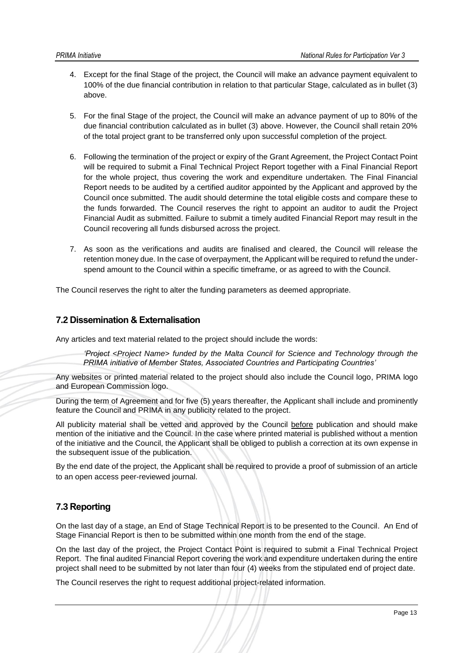- 4. Except for the final Stage of the project, the Council will make an advance payment equivalent to 100% of the due financial contribution in relation to that particular Stage, calculated as in bullet (3) above.
- 5. For the final Stage of the project, the Council will make an advance payment of up to 80% of the due financial contribution calculated as in bullet (3) above. However, the Council shall retain 20% of the total project grant to be transferred only upon successful completion of the project.
- 6. Following the termination of the project or expiry of the Grant Agreement, the Project Contact Point will be required to submit a Final Technical Project Report together with a Final Financial Report for the whole project, thus covering the work and expenditure undertaken. The Final Financial Report needs to be audited by a certified auditor appointed by the Applicant and approved by the Council once submitted. The audit should determine the total eligible costs and compare these to the funds forwarded. The Council reserves the right to appoint an auditor to audit the Project Financial Audit as submitted. Failure to submit a timely audited Financial Report may result in the Council recovering all funds disbursed across the project.
- 7. As soon as the verifications and audits are finalised and cleared, the Council will release the retention money due. In the case of overpayment, the Applicant will be required to refund the underspend amount to the Council within a specific timeframe, or as agreed to with the Council.

The Council reserves the right to alter the funding parameters as deemed appropriate.

#### <span id="page-13-0"></span>**7.2 Dissemination & Externalisation**

Any articles and text material related to the project should include the words:

*'Project <Project Name> funded by the Malta Council for Science and Technology through the PRIMA initiative of Member States, Associated Countries and Participating Countries'*

Any websites or printed material related to the project should also include the Council logo, PRIMA logo and European Commission logo.

During the term of Agreement and for five (5) years thereafter, the Applicant shall include and prominently feature the Council and PRIMA in any publicity related to the project.

All publicity material shall be vetted and approved by the Council before publication and should make mention of the initiative and the Council. In the case where printed material is published without a mention of the initiative and the Council, the Applicant shall be obliged to publish a correction at its own expense in the subsequent issue of the publication.

By the end date of the project, the Applicant shall be required to provide a proof of submission of an article to an open access peer-reviewed journal.

## <span id="page-13-1"></span>**7.3 Reporting**

On the last day of a stage, an End of Stage Technical Report is to be presented to the Council. An End of Stage Financial Report is then to be submitted within one month from the end of the stage.

On the last day of the project, the Project Contact Point is required to submit a Final Technical Project Report. The final audited Financial Report covering the work and expenditure undertaken during the entire project shall need to be submitted by not later than four (4) weeks from the stipulated end of project date.

The Council reserves the right to request additional project-related information.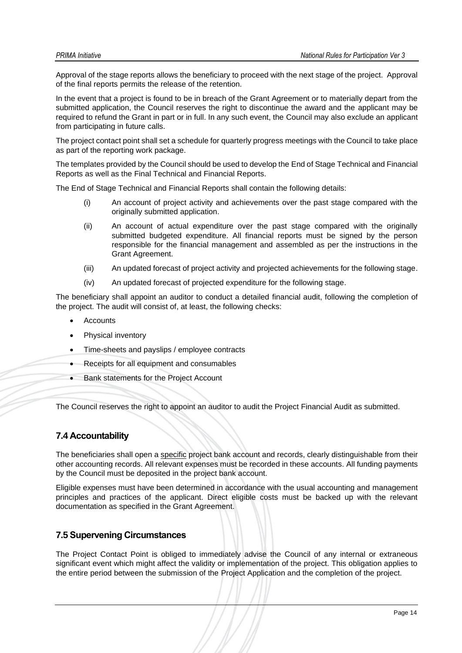Approval of the stage reports allows the beneficiary to proceed with the next stage of the project. Approval of the final reports permits the release of the retention.

In the event that a project is found to be in breach of the Grant Agreement or to materially depart from the submitted application, the Council reserves the right to discontinue the award and the applicant may be required to refund the Grant in part or in full. In any such event, the Council may also exclude an applicant from participating in future calls.

The project contact point shall set a schedule for quarterly progress meetings with the Council to take place as part of the reporting work package.

The templates provided by the Council should be used to develop the End of Stage Technical and Financial Reports as well as the Final Technical and Financial Reports.

The End of Stage Technical and Financial Reports shall contain the following details:

- (i) An account of project activity and achievements over the past stage compared with the originally submitted application.
- (ii) An account of actual expenditure over the past stage compared with the originally submitted budgeted expenditure. All financial reports must be signed by the person responsible for the financial management and assembled as per the instructions in the Grant Agreement.
- (iii) An updated forecast of project activity and projected achievements for the following stage.
- (iv) An updated forecast of projected expenditure for the following stage.

The beneficiary shall appoint an auditor to conduct a detailed financial audit, following the completion of the project. The audit will consist of, at least, the following checks:

- Accounts
- Physical inventory
- Time-sheets and payslips / employee contracts
- Receipts for all equipment and consumables
- Bank statements for the Project Account

<span id="page-14-0"></span>The Council reserves the right to appoint an auditor to audit the Project Financial Audit as submitted.

#### **7.4 Accountability**

The beneficiaries shall open a specific project bank account and records, clearly distinguishable from their other accounting records. All relevant expenses must be recorded in these accounts. All funding payments by the Council must be deposited in the project bank account.

Eligible expenses must have been determined in accordance with the usual accounting and management principles and practices of the applicant. Direct eligible costs must be backed up with the relevant documentation as specified in the Grant Agreement.

#### <span id="page-14-1"></span>**7.5 Supervening Circumstances**

The Project Contact Point is obliged to immediately advise the Council of any internal or extraneous significant event which might affect the validity or implementation of the project. This obligation applies to the entire period between the submission of the Project Application and the completion of the project.